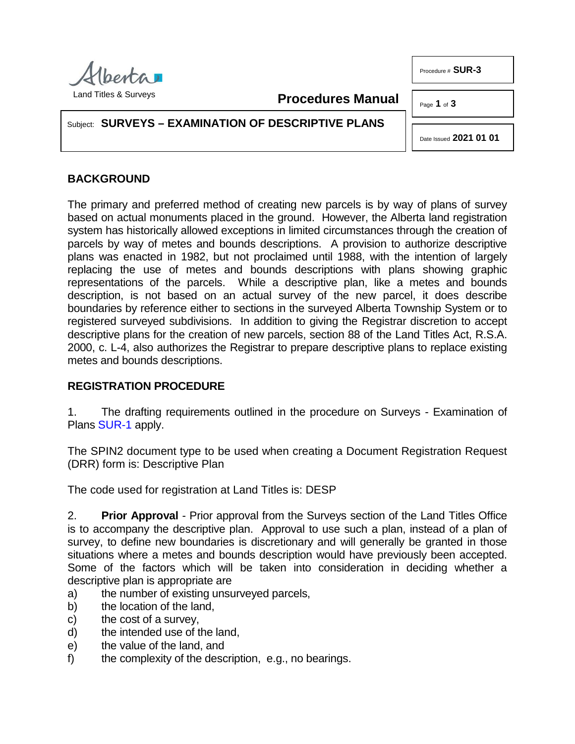

**Procedures Manual**

Page **1** of **3**

Subject: **SURVEYS – EXAMINATION OF DESCRIPTIVE PLANS**

Date Issued **2021 01 01**

## **BACKGROUND**

The primary and preferred method of creating new parcels is by way of plans of survey based on actual monuments placed in the ground. However, the Alberta land registration system has historically allowed exceptions in limited circumstances through the creation of parcels by way of metes and bounds descriptions. A provision to authorize descriptive plans was enacted in 1982, but not proclaimed until 1988, with the intention of largely replacing the use of metes and bounds descriptions with plans showing graphic representations of the parcels. While a descriptive plan, like a metes and bounds description, is not based on an actual survey of the new parcel, it does describe boundaries by reference either to sections in the surveyed Alberta Township System or to registered surveyed subdivisions. In addition to giving the Registrar discretion to accept descriptive plans for the creation of new parcels, section 88 of the Land Titles Act, R.S.A. 2000, c. L-4, also authorizes the Registrar to prepare descriptive plans to replace existing metes and bounds descriptions.

## **REGISTRATION PROCEDURE**

1. The drafting requirements outlined in the procedure on Surveys - Examination of Plans [SUR-1](http://www.servicealberta.ca/pdf/ltmanual/SUR-1.PDF) apply.

The SPIN2 document type to be used when creating a Document Registration Request (DRR) form is: Descriptive Plan

The code used for registration at Land Titles is: DESP

2. **Prior Approval** - Prior approval from the Surveys section of the Land Titles Office is to accompany the descriptive plan. Approval to use such a plan, instead of a plan of survey, to define new boundaries is discretionary and will generally be granted in those situations where a metes and bounds description would have previously been accepted. Some of the factors which will be taken into consideration in deciding whether a descriptive plan is appropriate are

- a) the number of existing unsurveyed parcels,
- b) the location of the land,
- c) the cost of a survey,
- d) the intended use of the land,
- e) the value of the land, and
- f) the complexity of the description, e.g., no bearings.

Procedure # **SUR-3**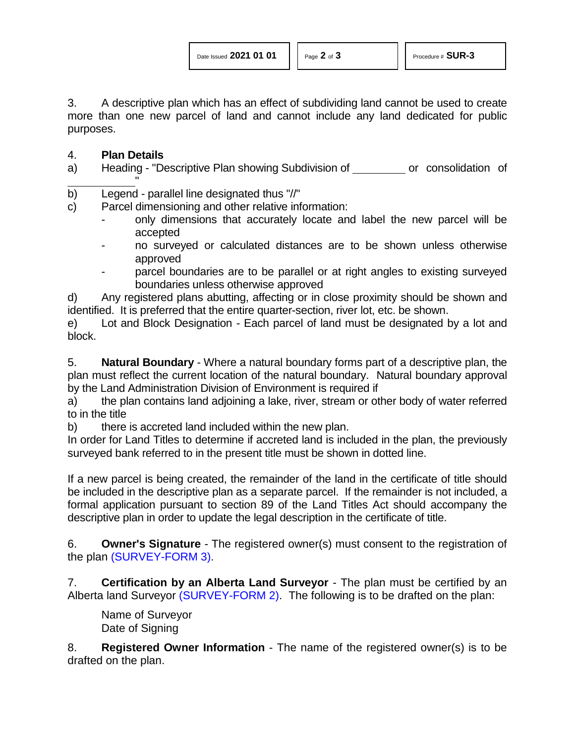3. A descriptive plan which has an effect of subdividing land cannot be used to create more than one new parcel of land and cannot include any land dedicated for public purposes.

## 4. **Plan Details**

a) Heading - "Descriptive Plan showing Subdivision of warrally consolidation of "

b) Legend - parallel line designated thus "//"

c) Parcel dimensioning and other relative information:

- only dimensions that accurately locate and label the new parcel will be accepted
- no surveyed or calculated distances are to be shown unless otherwise approved
- parcel boundaries are to be parallel or at right angles to existing surveyed boundaries unless otherwise approved

d) Any registered plans abutting, affecting or in close proximity should be shown and identified. It is preferred that the entire quarter-section, river lot, etc. be shown.

e) Lot and Block Designation - Each parcel of land must be designated by a lot and block.

5. **Natural Boundary** - Where a natural boundary forms part of a descriptive plan, the plan must reflect the current location of the natural boundary. Natural boundary approval by the Land Administration Division of Environment is required if

a) the plan contains land adjoining a lake, river, stream or other body of water referred to in the title

b) there is accreted land included within the new plan.

In order for Land Titles to determine if accreted land is included in the plan, the previously surveyed bank referred to in the present title must be shown in dotted line.

If a new parcel is being created, the remainder of the land in the certificate of title should be included in the descriptive plan as a separate parcel. If the remainder is not included, a formal application pursuant to section 89 of the Land Titles Act should accompany the descriptive plan in order to update the legal description in the certificate of title.

6. **Owner's Signature** - The registered owner(s) must consent to the registration of the plan [\(SURVEY-FORM 3\).](http://www.servicealberta.ca/pdf/ltmanual/SURVEY-FORM3.PDF)

7. **Certification by an Alberta Land Surveyor** - The plan must be certified by an Alberta land Surveyor [\(SURVEY-FORM 2\).](http://www.servicealberta.ca/pdf/ltmanual/SURVEY-FORM2.pdf) The following is to be drafted on the plan:

Name of Surveyor Date of Signing

8. **Registered Owner Information** - The name of the registered owner(s) is to be drafted on the plan.